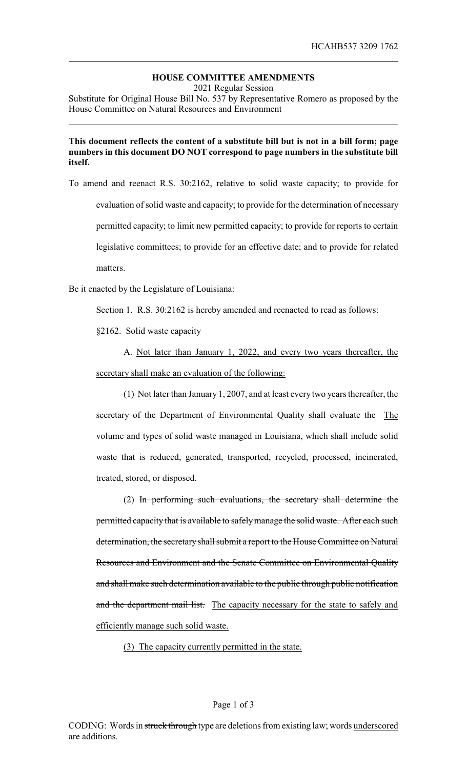## **HOUSE COMMITTEE AMENDMENTS**

2021 Regular Session

Substitute for Original House Bill No. 537 by Representative Romero as proposed by the House Committee on Natural Resources and Environment

## **This document reflects the content of a substitute bill but is not in a bill form; page numbers in this document DO NOT correspond to page numbers in the substitute bill itself.**

To amend and reenact R.S. 30:2162, relative to solid waste capacity; to provide for evaluation of solid waste and capacity; to provide for the determination of necessary permitted capacity; to limit new permitted capacity; to provide for reports to certain legislative committees; to provide for an effective date; and to provide for related matters.

Be it enacted by the Legislature of Louisiana:

Section 1. R.S. 30:2162 is hereby amended and reenacted to read as follows:

§2162. Solid waste capacity

A. Not later than January 1, 2022, and every two years thereafter, the secretary shall make an evaluation of the following:

(1) Not later than January 1, 2007, and at least every two years thereafter, the secretary of the Department of Environmental Quality shall evaluate the The volume and types of solid waste managed in Louisiana, which shall include solid waste that is reduced, generated, transported, recycled, processed, incinerated, treated, stored, or disposed.

(2) In performing such evaluations, the secretary shall determine the permitted capacity that is available to safelymanage the solid waste. After each such determination, the secretaryshall submit a report to the House Committee on Natural Resources and Environment and the Senate Committee on Environmental Quality and shall make such determination available to the public through public notification and the department mail list. The capacity necessary for the state to safely and efficiently manage such solid waste.

(3) The capacity currently permitted in the state.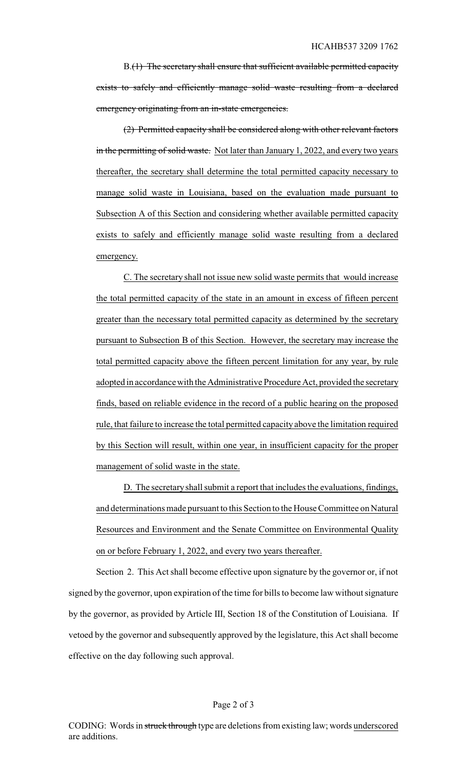B.(1) The secretary shall ensure that sufficient available permitted capacity exists to safely and efficiently manage solid waste resulting from a declared emergency originating from an in-state emergencies.

(2) Permitted capacity shall be considered along with other relevant factors in the permitting of solid waste. Not later than January 1, 2022, and every two years thereafter, the secretary shall determine the total permitted capacity necessary to manage solid waste in Louisiana, based on the evaluation made pursuant to Subsection A of this Section and considering whether available permitted capacity exists to safely and efficiently manage solid waste resulting from a declared emergency.

C. The secretary shall not issue new solid waste permits that would increase the total permitted capacity of the state in an amount in excess of fifteen percent greater than the necessary total permitted capacity as determined by the secretary pursuant to Subsection B of this Section. However, the secretary may increase the total permitted capacity above the fifteen percent limitation for any year, by rule adopted in accordance with the Administrative Procedure Act, provided the secretary finds, based on reliable evidence in the record of a public hearing on the proposed rule, that failure to increase the total permitted capacity above the limitation required by this Section will result, within one year, in insufficient capacity for the proper management of solid waste in the state.

D. The secretaryshall submit a report that includes the evaluations, findings, and determinations made pursuant to this Section to the House Committee on Natural Resources and Environment and the Senate Committee on Environmental Quality on or before February 1, 2022, and every two years thereafter.

Section 2. This Act shall become effective upon signature by the governor or, if not signed by the governor, upon expiration of the time for bills to become law without signature by the governor, as provided by Article III, Section 18 of the Constitution of Louisiana. If vetoed by the governor and subsequently approved by the legislature, this Act shall become effective on the day following such approval.

#### Page 2 of 3